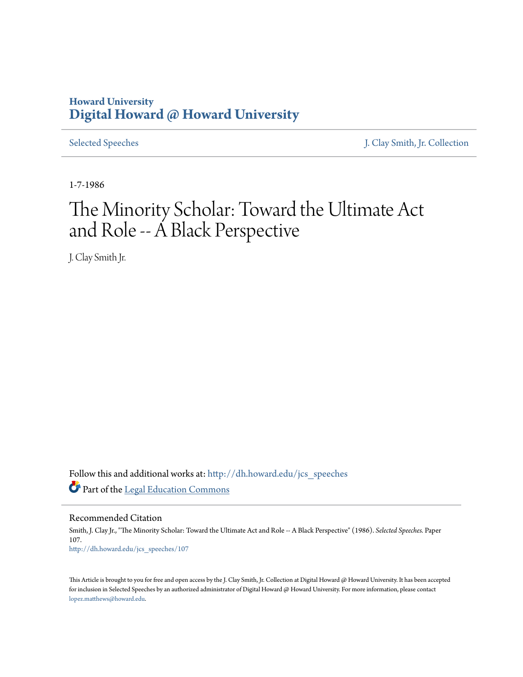## **Howard University [Digital Howard @ Howard University](http://dh.howard.edu?utm_source=dh.howard.edu%2Fjcs_speeches%2F107&utm_medium=PDF&utm_campaign=PDFCoverPages)**

[Selected Speeches](http://dh.howard.edu/jcs_speeches?utm_source=dh.howard.edu%2Fjcs_speeches%2F107&utm_medium=PDF&utm_campaign=PDFCoverPages) [J. Clay Smith, Jr. Collection](http://dh.howard.edu/jcsmith?utm_source=dh.howard.edu%2Fjcs_speeches%2F107&utm_medium=PDF&utm_campaign=PDFCoverPages)

1-7-1986

# The Minority Scholar: Toward the Ultimate Act and Role -- A Black Perspective

J. Clay Smith Jr.

Follow this and additional works at: [http://dh.howard.edu/jcs\\_speeches](http://dh.howard.edu/jcs_speeches?utm_source=dh.howard.edu%2Fjcs_speeches%2F107&utm_medium=PDF&utm_campaign=PDFCoverPages) Part of the [Legal Education Commons](http://network.bepress.com/hgg/discipline/857?utm_source=dh.howard.edu%2Fjcs_speeches%2F107&utm_medium=PDF&utm_campaign=PDFCoverPages)

Recommended Citation Smith, J. Clay Jr., "The Minority Scholar: Toward the Ultimate Act and Role -- A Black Perspective" (1986). *Selected Speeches.* Paper 107. [http://dh.howard.edu/jcs\\_speeches/107](http://dh.howard.edu/jcs_speeches/107?utm_source=dh.howard.edu%2Fjcs_speeches%2F107&utm_medium=PDF&utm_campaign=PDFCoverPages)

This Article is brought to you for free and open access by the J. Clay Smith, Jr. Collection at Digital Howard @ Howard University. It has been accepted for inclusion in Selected Speeches by an authorized administrator of Digital Howard @ Howard University. For more information, please contact [lopez.matthews@howard.edu.](mailto:lopez.matthews@howard.edu)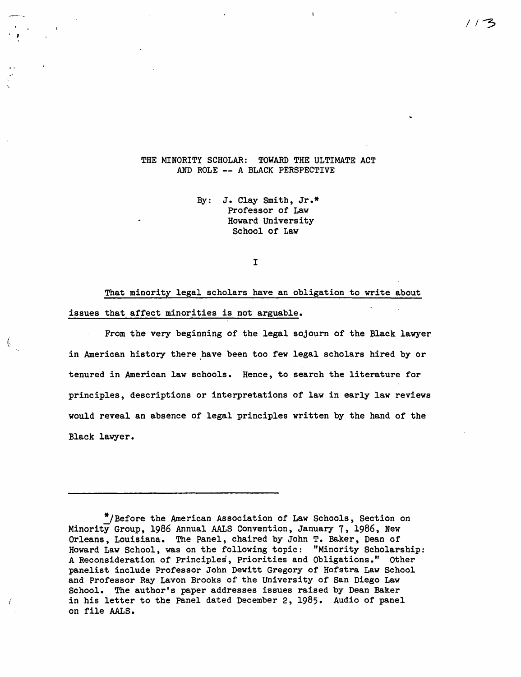#### THE MINORITY SCHOLAR: TOWARD THE ULTIMATE ACT AND ROLE -- A BLACK PERSPECTIVE

, ,

 $\dot{\mathfrak{h}}$ 

By: J. Clay Smith, Jr.\* Professor of Law Howard University School of Law

I

That minority legal scholars have an obligation to write about issues that affect minorities is not arguable.

From the very beginning of the legal sojourn of the Black lawyer in American history there have been too few legal scholars hired by or tenured in American law schools. Hence, to search the literature for principles, descriptions or interpretations of law in early law reviews would reveal an absence of legal principles written by the hand of the Black lawyer.

<sup>\*/</sup>Before the American Association of Law Schools, Section on Minority Group, 1986 Annual AALS Convention, January 7, 1986, New Orleans, Louisiana. The Panel, chaired by John T. Baker, Dean of Howard Law School, was on the following topic: "Minority Scholarship: A Reconsideration of Principles, Priorities and Obligations." Other panelist include Professor John Dewitt Gregory of Hofstra Law School and Professor Ray Lavon Brooks of the University of San Diego Law School. The author's paper addresses issues raised by Dean Baker in his letter to the Panel dated December 2, 1985. Audio of panel on file AALS.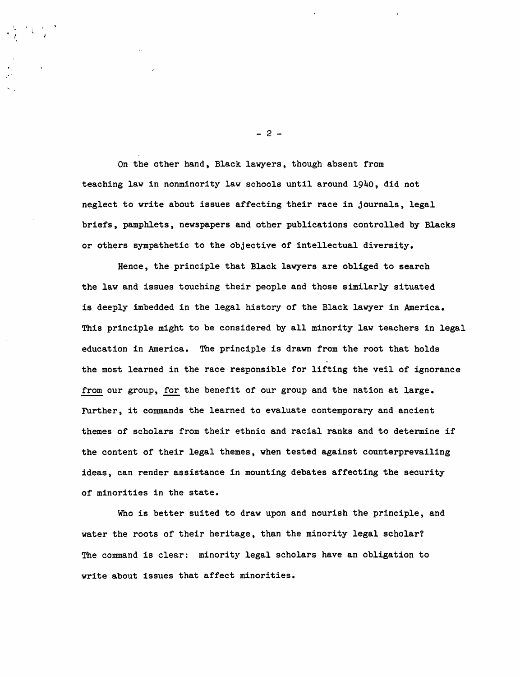On the other hand, Black lawyers, though absent from teaching law in nonminority law schools until around 1940, did not neglect to write about issues affecting their race in journals, legal briefs, pamphlets, newspapers and other publications controlled by Blacks or others sympathetic to the objective of intellectual diversity.

Hence, the principle that Black lawyers are obliged to search the law and issues touching their people and those similarly situated is deeply imbedded in the legal history of the Black lawyer in America. This principle might to be considered by all minority law teachers in legal education in America. The principle is drawn from the root that holds the most learned in the race responsible for lifting the veil of ignorance from our group, for the benefit of our group and the nation at large. Further, it commands the learned to evaluate contemporary and ancient themes of scholars from their ethnic and racial ranks and to determine if the content of their legal themes, when tested against counterprevailing ideas, can render assistance in mounting debates affecting the security of minorities in the state.

Who is better suited to draw upon and nourish the principle, and water the roots of their heritage, than the minority legal scholar? The command is clear: minority legal scholars have an obligation to write about issues that affect minorities.

- 2 -

"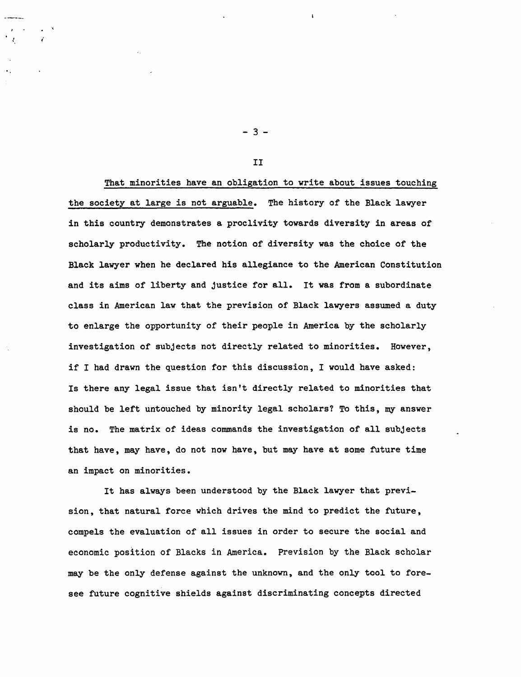That minorities have an obligation to write about issues touching the society at large is not arguable. The history of the Black lawyer in this country demonstrates a proclivity towards diversity in areas of scholarly productivity. The notion of diversity was the choice of the Black lawyer when he declared his allegiance to the American Constitution and its aims of liberty and justice for all. It was from a subordinate class in American law that the prevision of Black lawyers assumed a duty to enlarge the opportunity of their people in America by the scholarly investigation of subjects not directly related to minorities. However, if I had drawn the question for this discussion, I would have asked: Is there any legal issue that isn't directly related to minorities that should be left untouched by minority legal scholars? To this, my answer is no. The matrix of ideas commands the investigation of all subjects that have, may have, do not now have, but may have at some future time an impact on minorities.

It has always been understood by the Black lawyer that prevision, that natural force which drives the mind to predict the future, compels the evaluation of all issues in order to secure the social and economic position of Blacks in America. Prevision by the Black scholar may be the only defense against the unknown, and the only tool to foresee future cognitive shields against discriminating concepts directed

- 3 -

II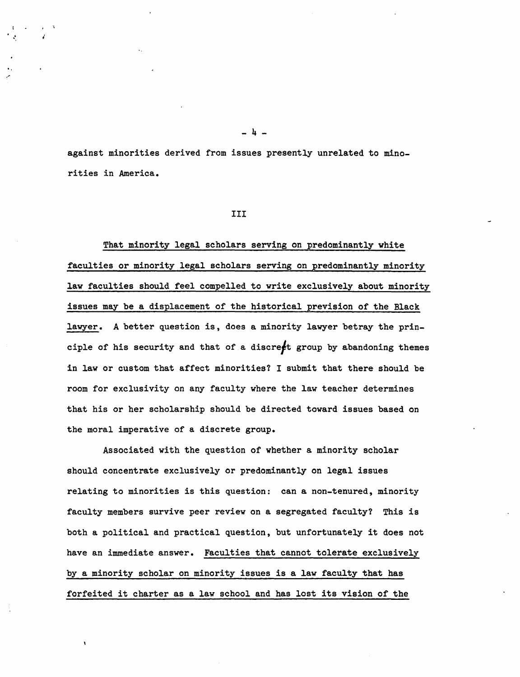against minorities derived from issues presently unrelated to minorities in America.

· ~ ,

"

#### III

That minority legal scholars serving on predominantly white faculties or minority legal scholars serving on predominantly minority law faculties should feel compelled to write exclusively about minority issues may be a displacement of the historical prevision of the Black lawyer. A better question is, does a minority lawyer betray the principle of his security and that of a discre $f$ t group by abandoning themes in law or custom that affect minorities? I submit that there should be room for exclusivity on any faculty where the law teacher determines that his or her scholarship should be directed toward issues based on the moral imperative of a discrete group.

Associated with the question of whether a minority scholar should concentrate exclusively or predominantly on legal issues relating to minorities is this question: can a non-tenured, minority faculty members survive peer review on a segregated faculty? This is both a political and practical question, but unfortunately it does not have an immediate answer. Faculties that cannot tolerate exclusively by a minority scholar on minority issues is a law faculty that has forfeited it charter as a law school and has lost its vision of the

- 4 -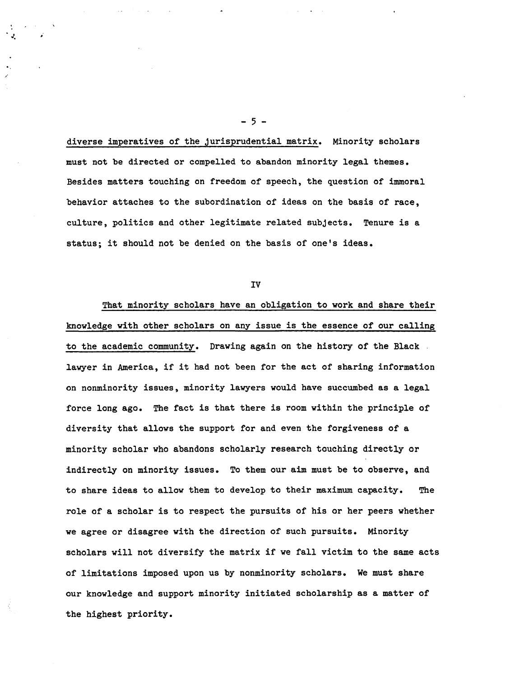diverse imperatives of the jurisprudential matrix. Minority scholars must not be directed or compelled to abandon minority legal themes. Besides matters touching on freedom of speech, the question of immoral behavior attaches to the subordination of ideas on the basis of race, culture, politics and other legitimate related subjects. Tenure is a status; it should not be denied on the basis of one's ideas.

 $-5 -$ 

IV

That minority scholars have an obligation to work and share their knowledge with other scholars on any issue is the essence of our calling to the academic community. Drawing again on the history of the Black . lawyer in America, if it had not been for the act of sharing information on nonminority issues, minority lawyers would have succumbed as a legal force long ago. The fact is that there is room within the principle of diversity that allows the support for and even the forgiveness of a minority scholar who abandons scholarly research touching directly or indirectly on minority issues. To them our aim must be to observe, and to share ideas to allow them to develop to their maximum capacity. The role of a scholar is to respect the pursuits of his or her peers whether we agree or disagree with the direction of such pursuits. Minority scholars will not diversify the matrix if we fall victim to the same acts of limitations imposed upon us by nonminority scholars. We must share our knowledge and support minority initiated scholarship as a matter of the highest priority.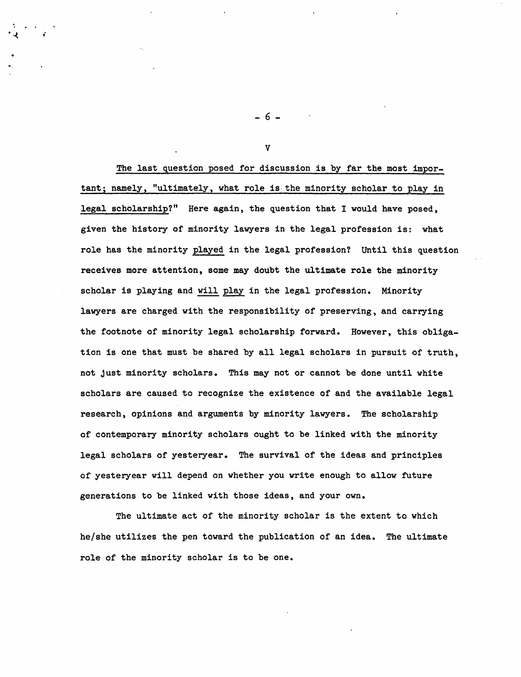The last question posed for discussion is by far the most important; namely, "ultimately, what role is· the minority scholar to play in legal scholarship?" Here again, the question that I would have posed, given the history of minority lawyers in the legal profession is: what role has the minority played in the legal profession? Until this question receives more attention, some may doubt the ultimate role the minority scholar is playing and will play in the legal profession. Minority lawyers are charged with the responsibility of preserving, and carrying the footnote of minority legal scholarship forward. However, this obligation is one that must be shared by all legal scholars in pursuit of truth, not just minority scholars. This may not or cannot be done until white scholars are caused to recognize the existence of and the available legal research, opinions and arguments by minority lawyers. The scholarship of contemporary minority scholars ought to be linked with the minority legal scholars of yesteryear. The survival of the ideas and principles of yesteryear will depend on whether you write enough to allow future generations to be linked with those ideas, and your own.

The ultimate act of the minority scholar is the extent to which he/she utilizes the pen toward the publication of an idea. The Ultimate role of the minority scholar is to be one.

- 6 -

. The set of  $\mathcal{A}$ 

V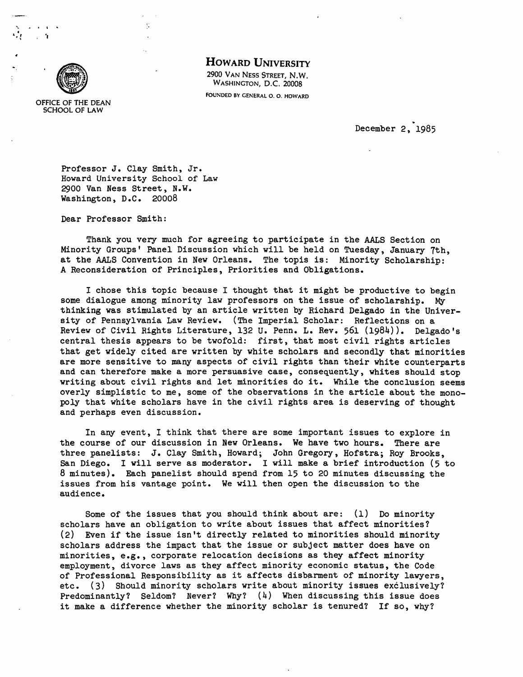

.<br>..... , ....<br>.... , .... t. ! "

### HOWARD UNIVERSITY

2900 VAN NESS STREET, N.W. WASHINGTON, D.C. 20008

FOUNDED BY GENERAL O. O. HOWARD

OFFICE OF THE DEAN SCHOOL OF LAW

. December 2, 1985

Professor J. Clay Smith, Jr. Howard University School of Law 2900 Van Ness Street, N.W. Washington, D.C. 20008

 $\ddot{\phantom{a}}$ 

Dear Professor Smith:

Thank you very much for agreeing to participate in the AALS Section on Minority Groups' Panel Discussion which will be held on Tuesday, January 7th, at the AALS Convention in New Orleans. The topis is: Minority Scholarship: A Reconsideration of Principles, Priorities and Obligations.

I chose this topic because I thought that it might be productive to begin some dialogue among minority law professors on the issue of scholarship. My thinking was stimulated by an article written by Richard Delgado in the University of Pennsylvania Law Review. (The Imperial Scholar: Reflections on a Review of Civil Rights Literature, 132 U. Penn. L. Rev. 561 (1984)). Delgado's central thesis appears to be twofold: first, that most civil rights articles that get widely cited are written by white scholars and secondly that minorities are more sensitive to many aspects of civil rights than their white counterparts and can therefore make a more persuasive case, consequently, whites should stop writing about civil rights and let minorities do it. While the conclusion seems overly simplistic to me, some of the observations in the article about the monopoly that white scholars have in the civil rights area is deserving of thought and perhaps even discussion.

In any event, I think that there are some important issues to explore in the course of our discussion in New Orleans. We have two hours. There are three panelists: J. Clay Smith, Howard; John Gregory, Hofstra; Roy Brooks, San Diego. I will serve as moderator. I will make a brief introduction (5 to 8 minutes). Each panelist should spend from 15 to 20 minutes discussing the issues from his vantage point. We will then open the discussion to the audience.

Some of the issues that you should think about are: (1) Do minority scholars have an obligation to write about issues that affect minorities? (2) Even if the issue isn't directly related to minorities should minority scholars address the impact that the issue or subject matter does have on minorities, e.g., corporate relocation decisions as they affect minority employment, divorce laws as they affect minority economic status, the Code of Professional Responsibility as it affects disbarment of minority lawyers, etc. (3) Should minority scholars write about minority issues exclusively? Predominantly? Seldom? Never? Why? (4) When discussing this issue does it make a difference whether the minority scholar is tenured? If so, why?